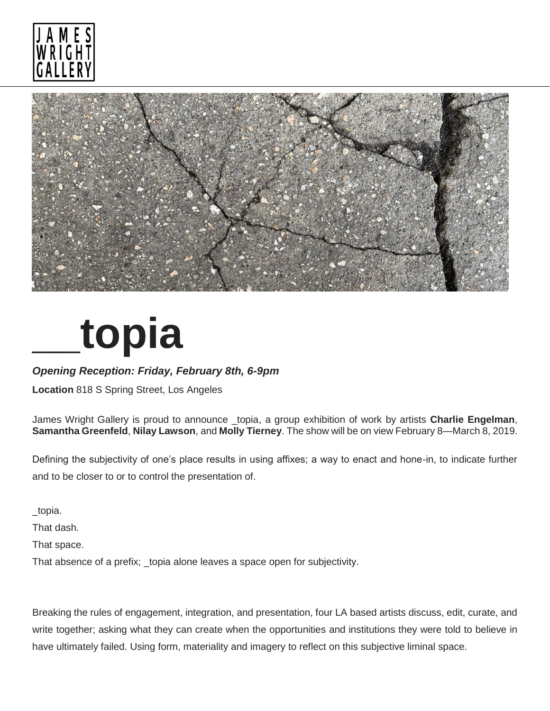



## **\_\_topia**

## *Opening Reception: Friday, February 8th, 6-9pm*

**Location** 818 S Spring Street, Los Angeles

James Wright Gallery is proud to announce \_topia, a group exhibition of work by artists **Charlie Engelman**, **Samantha Greenfeld**, **Nilay Lawson**, and **Molly Tierney**. The show will be on view February 8—March 8, 2019.

Defining the subjectivity of one's place results in using affixes; a way to enact and hone-in, to indicate further and to be closer to or to control the presentation of.

\_topia.

That dash.

That space.

That absence of a prefix; \_topia alone leaves a space open for subjectivity.

Breaking the rules of engagement, integration, and presentation, four LA based artists discuss, edit, curate, and write together; asking what they can create when the opportunities and institutions they were told to believe in have ultimately failed. Using form, materiality and imagery to reflect on this subjective liminal space.